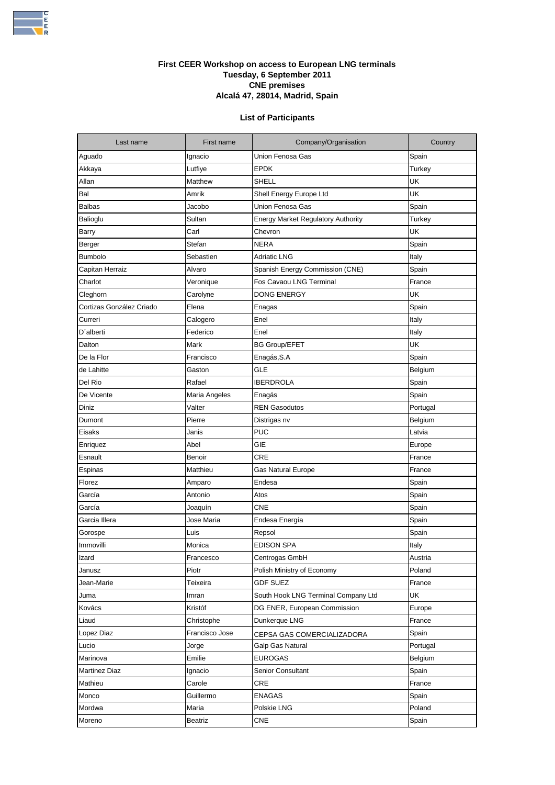

## **First CEER Workshop on access to European LNG terminals Tuesday, 6 September 2011 CNE premises Alcalá 47, 28014, Madrid, Spain**

## **List of Participants**

| Last name                | First name     | Company/Organisation                      | Country  |
|--------------------------|----------------|-------------------------------------------|----------|
| Aguado                   | Ignacio        | Union Fenosa Gas                          | Spain    |
| Akkaya                   | Lutfiye        | <b>EPDK</b>                               | Turkey   |
| Allan                    | Matthew        | SHELL                                     | UK       |
| Bal                      | Amrik          | Shell Energy Europe Ltd                   | UK       |
| <b>Balbas</b>            | Jacobo         | Union Fenosa Gas                          | Spain    |
| Balioglu                 | Sultan         | <b>Energy Market Regulatory Authority</b> | Turkey   |
| Barry                    | Carl           | Chevron                                   | UK       |
| Berger                   | Stefan         | NERA                                      | Spain    |
| <b>Bumbolo</b>           | Sebastien      | <b>Adriatic LNG</b>                       | Italy    |
| Capitan Herraiz          | Alvaro         | Spanish Energy Commission (CNE)           | Spain    |
| Charlot                  | Veronique      | Fos Cavaou LNG Terminal                   | France   |
| Cleghorn                 | Carolyne       | DONG ENERGY                               | UK       |
| Cortizas González Criado | Elena          | Enagas                                    | Spain    |
| Curreri                  | Calogero       | Enel                                      | Italy    |
| D'alberti                | Federico       | Enel                                      | Italy    |
| Dalton                   | Mark           | <b>BG Group/EFET</b>                      | UK       |
| De la Flor               | Francisco      | Enagás,S.A                                | Spain    |
| de Lahitte               | Gaston         | <b>GLE</b>                                | Belgium  |
| Del Rio                  | Rafael         | IBERDROLA                                 | Spain    |
| De Vicente               | Maria Angeles  | Enagás                                    | Spain    |
| Diniz                    | Valter         | <b>REN Gasodutos</b>                      | Portugal |
| Dumont                   | Pierre         | Distrigas nv                              | Belgium  |
| Eisaks                   | Janis          | <b>PUC</b>                                | Latvia   |
| Enriquez                 | Abel           | GIE                                       | Europe   |
| Esnault                  | Benoir         | <b>CRE</b>                                | France   |
| Espinas                  | Matthieu       | Gas Natural Europe                        | France   |
| Florez                   | Amparo         | Endesa                                    | Spain    |
| García                   | Antonio        | Atos                                      | Spain    |
| García                   | Joaquín        | <b>CNE</b>                                | Spain    |
| Garcia Illera            | Jose Maria     | Endesa Energía                            | Spain    |
| Gorospe                  | Luis           | Repsol                                    | Spain    |
| Immovilli                | Monica         | EDISON SPA                                | Italy    |
| Izard                    | Francesco      | Centrogas GmbH                            | Austria  |
| Janusz                   | Piotr          | Polish Ministry of Economy                | Poland   |
| Jean-Marie               | Teixeira       | <b>GDF SUEZ</b>                           | France   |
| Juma                     | Imran          | South Hook LNG Terminal Company Ltd       | UK       |
| Kovács                   | Kristóf        | DG ENER, European Commission              | Europe   |
| Liaud                    | Christophe     | Dunkerque LNG                             | France   |
| Lopez Diaz               | Francisco Jose | CEPSA GAS COMERCIALIZADORA                | Spain    |
| Lucio                    | Jorge          | Galp Gas Natural                          | Portugal |
| Marinova                 | Emilie         | <b>EUROGAS</b>                            | Belgium  |
| <b>Martinez Diaz</b>     | Ignacio        | Senior Consultant                         | Spain    |
| Mathieu                  | Carole         | CRE                                       | France   |
| Monco                    | Guillermo      | ENAGAS                                    | Spain    |
| Mordwa                   | Maria          | Polskie LNG                               | Poland   |
| Moreno                   | Beatriz        | <b>CNE</b>                                | Spain    |